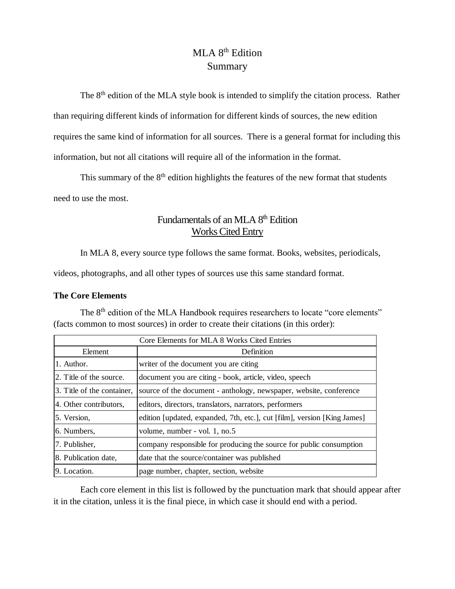# MLA 8<sup>th</sup> Edition Summary

The 8<sup>th</sup> edition of the MLA style book is intended to simplify the citation process. Rather than requiring different kinds of information for different kinds of sources, the new edition requires the same kind of information for all sources. There is a general format for including this information, but not all citations will require all of the information in the format.

This summary of the  $8<sup>th</sup>$  edition highlights the features of the new format that students need to use the most.

## Fundamentals of an MLA 8<sup>th</sup> Edition Works Cited Entry

In MLA 8, every source type follows the same format. Books, websites, periodicals,

videos, photographs, and all other types of sources use this same standard format.

### **The Core Elements**

The 8<sup>th</sup> edition of the MLA Handbook requires researchers to locate "core elements" (facts common to most sources) in order to create their citations (in this order):

| Core Elements for MLA 8 Works Cited Entries |                                                                          |  |  |  |
|---------------------------------------------|--------------------------------------------------------------------------|--|--|--|
| Element                                     | Definition                                                               |  |  |  |
| 1. Author.                                  | writer of the document you are citing                                    |  |  |  |
| 2. Title of the source.                     | document you are citing - book, article, video, speech                   |  |  |  |
| 3. Title of the container,                  | source of the document - anthology, newspaper, website, conference       |  |  |  |
| 4. Other contributors,                      | editors, directors, translators, narrators, performers                   |  |  |  |
| 5. Version,                                 | edition [updated, expanded, 7th, etc.], cut [film], version [King James] |  |  |  |
| 6. Numbers,                                 | volume, number - vol. 1, no.5                                            |  |  |  |
| 7. Publisher,                               | company responsible for producing the source for public consumption      |  |  |  |
| 8. Publication date,                        | date that the source/container was published                             |  |  |  |
| 9. Location.                                | page number, chapter, section, website                                   |  |  |  |

Each core element in this list is followed by the punctuation mark that should appear after it in the citation, unless it is the final piece, in which case it should end with a period.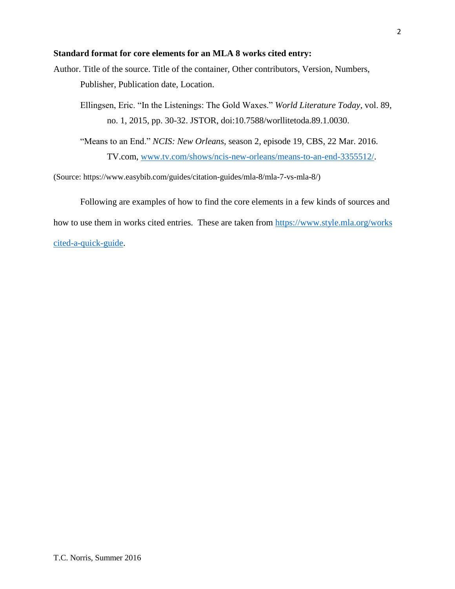### **Standard format for core elements for an MLA 8 works cited entry:**

Author. Title of the source. Title of the container, Other contributors, Version, Numbers, Publisher, Publication date, Location.

Ellingsen, Eric. "In the Listenings: The Gold Waxes." *World Literature Today*, vol. 89, no. 1, 2015, pp. 30-32. JSTOR, doi:10.7588/worllitetoda.89.1.0030.

"Means to an End." *NCIS: New Orleans*, season 2, episode 19, CBS, 22 Mar. 2016. TV.com, [www.tv.com/shows/ncis-new-orleans/means-to-an-end-3355512/.](http://www.tv.com/shows/ncis-new-orleans/means-to-an-end-3355512/)

(Source: https://www.easybib.com/guides/citation-guides/mla-8/mla-7-vs-mla-8/)

Following are examples of how to find the core elements in a few kinds of sources and

how to use them in works cited entries. These are taken from [https://www.style.mla.org/works](https://www.style.mla.org/works-cited-a-quick-guide) 

[cited-a-quick-guide.](https://www.style.mla.org/works-cited-a-quick-guide)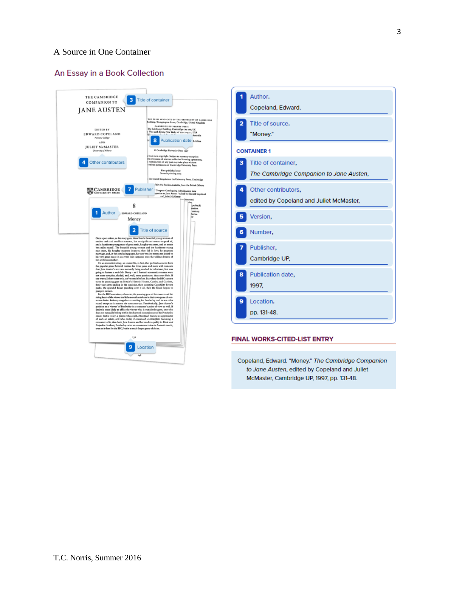### A Source in One Container

#### An Essay in a Book Collection



|                    | Author.<br>Copeland, Edward.                                   |  |  |
|--------------------|----------------------------------------------------------------|--|--|
| 2                  | Title of source.<br>"Money."                                   |  |  |
| <b>CONTAINER 1</b> |                                                                |  |  |
| з                  | Title of container,<br>The Cambridge Companion to Jane Austen, |  |  |
| 4                  | Other contributors,<br>edited by Copeland and Juliet McMaster, |  |  |
|                    | Version,                                                       |  |  |
| 6                  | Number,                                                        |  |  |
|                    | Publisher,<br>Cambridge UP,                                    |  |  |
| 8                  | Publication date,<br>1997.                                     |  |  |
| o                  | Location.<br>pp. 131-48.                                       |  |  |

#### FINAL WORKS-CITED-LIST ENTRY

Copeland, Edward. "Money." The Cambridge Companion to Jane Austen, edited by Copeland and Juliet McMaster, Cambridge UP, 1997, pp. 131-48.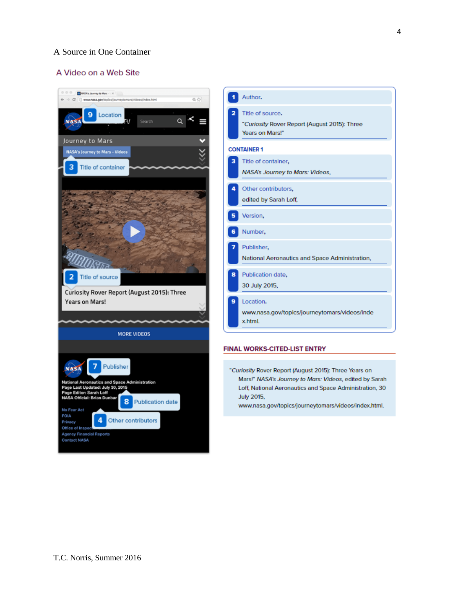### A Source in One Container

#### A Video on a Web Site

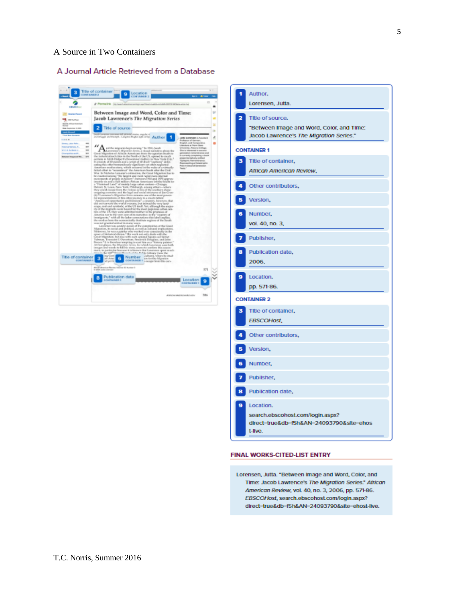### A Source in Two Containers

#### A Journal Article Retrieved from a Database



|                         | Author.<br>Lorensen, Jutta.                                                                              |  |  |  |  |
|-------------------------|----------------------------------------------------------------------------------------------------------|--|--|--|--|
| $\overline{\mathbf{z}}$ | Title of source.<br>"Between Image and Word, Color, and Time:<br>Jacob Lawrence's The Migration Series." |  |  |  |  |
|                         | <b>CONTAINER 1</b>                                                                                       |  |  |  |  |
| з                       | Title of container,<br>African American Review,                                                          |  |  |  |  |
|                         | Other contributors,                                                                                      |  |  |  |  |
| 5.                      | Version,                                                                                                 |  |  |  |  |
| 61                      | Number,<br>vol. 40, no. 3,                                                                               |  |  |  |  |
|                         | Publisher,                                                                                               |  |  |  |  |
|                         | Publication date,<br>2006,                                                                               |  |  |  |  |
|                         | Location.<br>pp. 571-86.                                                                                 |  |  |  |  |
|                         | <b>CONTAINER 2</b>                                                                                       |  |  |  |  |
| з                       | Title of container,<br>EBSCOHost,                                                                        |  |  |  |  |
|                         | Other contributors,                                                                                      |  |  |  |  |
|                         | Version,                                                                                                 |  |  |  |  |
| 6.                      | Number,                                                                                                  |  |  |  |  |
|                         | Publisher,                                                                                               |  |  |  |  |
| 8                       | Publication date,                                                                                        |  |  |  |  |
| 9.                      | Location.<br>search.ebscohost.com/login.aspx?<br>direct-true&db-f5h&AN-24093790&site-ehos<br>t-Ilve.     |  |  |  |  |

#### FINAL WORKS-CITED-LIST ENTRY

Lorensen, Jutta. "Between Image and Word, Color, and Time: Jacob Lawrence's The Migration Series." African American Review, vol. 40, no. 3, 2006, pp. 571-86. EBSCOHost, search.ebscohost.com/login.aspx? direct-true&db-f5h&AN-24093790&site-ehost-live.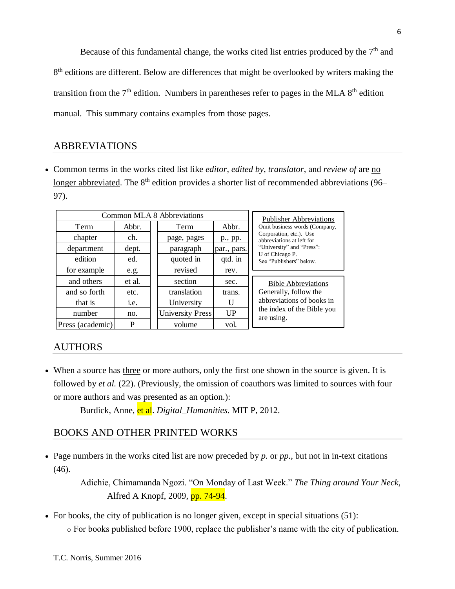Because of this fundamental change, the works cited list entries produced by the  $7<sup>th</sup>$  and 8<sup>th</sup> editions are different. Below are differences that might be overlooked by writers making the transition from the  $7<sup>th</sup>$  edition. Numbers in parentheses refer to pages in the MLA  $8<sup>th</sup>$  edition manual. This summary contains examples from those pages.

## ABBREVIATIONS

 Common terms in the works cited list like *editor*, *edited by*, *translator*, and *review of* are no longer abbreviated. The 8<sup>th</sup> edition provides a shorter list of recommended abbreviations (96– 97).

|                  | Common MLA 8 Abbreviations | <b>Publisher Abbreviations</b> |             |                                                      |
|------------------|----------------------------|--------------------------------|-------------|------------------------------------------------------|
| Term             | Abbr.                      | Term                           | Abbr.       | Omit business words (Company,                        |
| chapter          | ch.                        | page, pages                    | p., pp.     | Corporation, etc.). Use<br>abbreviations at left for |
| department       | dept.                      | paragraph                      | par., pars. | "University" and "Press":                            |
| edition          | ed.                        | quoted in                      | qtd. in     | U of Chicago P.<br>See "Publishers" below.           |
| for example      | e.g.                       | revised                        | rev.        |                                                      |
| and others       | et al.                     | section                        | sec.        | <b>Bible Abbreviations</b>                           |
| and so forth     | etc.                       | translation                    | trans.      | Generally, follow the                                |
| that is          | i.e.                       | University                     | U           | abbreviations of books in                            |
| number           | no.                        | <b>University Press</b>        | UP          | the index of the Bible you<br>are using.             |
| Press (academic) | P                          | volume                         | vol.        |                                                      |

## AUTHORS

 When a source has three or more authors, only the first one shown in the source is given. It is followed by *et al.* (22). (Previously, the omission of coauthors was limited to sources with four or more authors and was presented as an option.):

Burdick, Anne, et al. *Digital\_Humanities.* MIT P, 2012.

## BOOKS AND OTHER PRINTED WORKS

 Page numbers in the works cited list are now preceded by *p.* or *pp.,* but not in in-text citations (46).

> Adichie, Chimamanda Ngozi. "On Monday of Last Week." *The Thing around Your Neck,* Alfred A Knopf, 2009, pp. 74-94.

• For books, the city of publication is no longer given, except in special situations (51): o For books published before 1900, replace the publisher's name with the city of publication.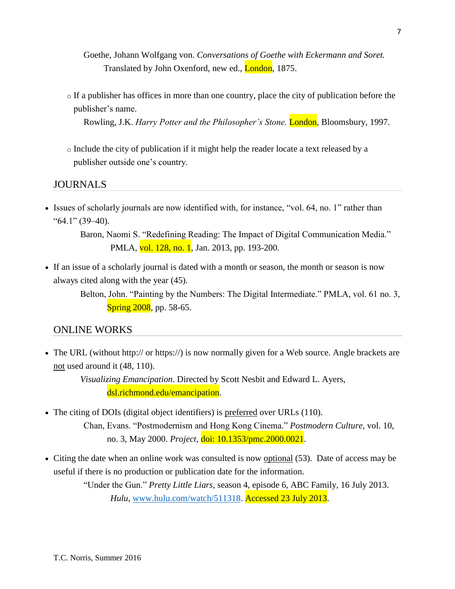Goethe, Johann Wolfgang von. *Conversations of Goethe with Eckermann and Soret.* Translated by John Oxenford, new ed., **London**, 1875.

 $\circ$  If a publisher has offices in more than one country, place the city of publication before the publisher's name.

Rowling, J.K. *Harry Potter and the Philosopher's Stone*. **London**, Bloomsbury, 1997.

o Include the city of publication if it might help the reader locate a text released by a publisher outside one's country.

JOURNALS

• Issues of scholarly journals are now identified with, for instance, "vol. 64, no. 1" rather than "64.1" (39–40).

> Baron, Naomi S. "Redefining Reading: The Impact of Digital Communication Media." PMLA, vol. 128, no. 1, Jan. 2013, pp. 193-200.

 If an issue of a scholarly journal is dated with a month or season, the month or season is now always cited along with the year (45).

> Belton, John. "Painting by the Numbers: The Digital Intermediate." PMLA, vol. 61 no. 3, **Spring 2008**, pp. 58-65.

### ONLINE WORKS

• The URL (without http:// or https://) is now normally given for a Web source. Angle brackets are not used around it (48, 110).

> *Visualizing Emancipation*. Directed by Scott Nesbit and Edward L. Ayers, dsl.richmond.edu/emancipation.

- The citing of DOIs (digital object identifiers) is preferred over URLs (110). Chan, Evans. "Postmodernism and Hong Kong Cinema." *Postmodern Culture,* vol. 10, no. 3, May 2000. *Project,* doi: 10.1353/pmc.2000.0021.
- Citing the date when an online work was consulted is now optional (53). Date of access may be useful if there is no production or publication date for the information.

"Under the Gun." *Pretty Little Liars*, season 4, episode 6, ABC Family, 16 July 2013. *Hulu*, [www.hulu.com/watch/511318.](http://www.hulu.com/watch/511318) Accessed 23 July 2013.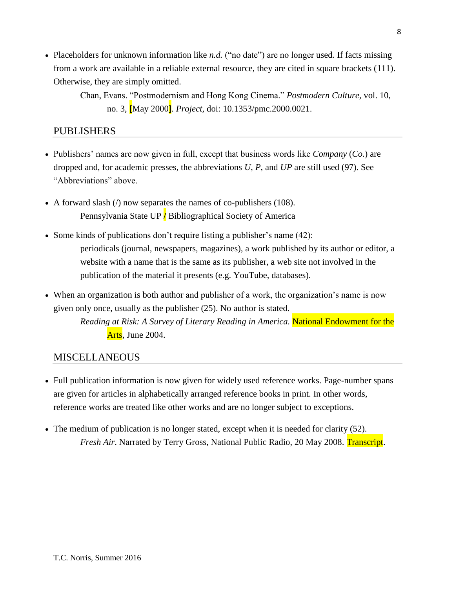• Placeholders for unknown information like *n.d.* ("no date") are no longer used. If facts missing from a work are available in a reliable external resource, they are cited in square brackets (111). Otherwise, they are simply omitted.

Chan, Evans. "Postmodernism and Hong Kong Cinema." *Postmodern Culture,* vol. 10, no. 3, **[**May 2000**]**. *Project,* doi: 10.1353/pmc.2000.0021.

## PUBLISHERS

- Publishers' names are now given in full, except that business words like *Company* (*Co.*) are dropped and, for academic presses, the abbreviations *U*, *P*, and *UP* are still used (97). See "Abbreviations" above.
- A forward slash  $\ell$  now separates the names of co-publishers (108). Pennsylvania State UP **/** Bibliographical Society of America
- Some kinds of publications don't require listing a publisher's name (42): periodicals (journal, newspapers, magazines), a work published by its author or editor, a website with a name that is the same as its publisher, a web site not involved in the publication of the material it presents (e.g. YouTube, databases).
- When an organization is both author and publisher of a work, the organization's name is now given only once, usually as the publisher (25). No author is stated.

*Reading at Risk: A Survey of Literary Reading in America.* National Endowment for the Arts, June 2004.

## MISCELLANEOUS

- Full publication information is now given for widely used reference works. Page-number spans are given for articles in alphabetically arranged reference books in print. In other words, reference works are treated like other works and are no longer subject to exceptions.
- The medium of publication is no longer stated, except when it is needed for clarity (52). *Fresh Air*. Narrated by Terry Gross, National Public Radio, 20 May 2008. Transcript.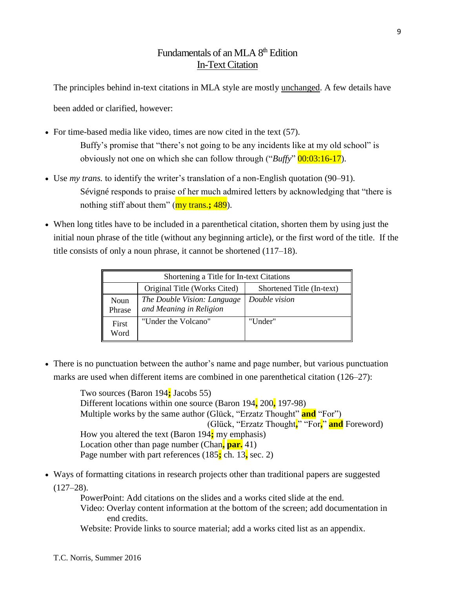# Fundamentals of an MLA 8<sup>th</sup> Edition In-Text Citation

The principles behind in-text citations in MLA style are mostly unchanged. A few details have been added or clarified, however:

- For time-based media like video, times are now cited in the text (57). Buffy's promise that "there's not going to be any incidents like at my old school" is obviously not one on which she can follow through ("*Buffy*" 00:03:16-17).
- Use *my trans.* to identify the writer's translation of a non-English quotation (90–91). Sévigné responds to praise of her much admired letters by acknowledging that "there is nothing stiff about them" (my trans.**;** 489).
- When long titles have to be included in a parenthetical citation, shorten them by using just the initial noun phrase of the title (without any beginning article), or the first word of the title. If the title consists of only a noun phrase, it cannot be shortened (117–18).

| Shortening a Title for In-text Citations |                                                        |                           |  |  |  |
|------------------------------------------|--------------------------------------------------------|---------------------------|--|--|--|
|                                          | Original Title (Works Cited)                           | Shortened Title (In-text) |  |  |  |
| Noun<br>Phrase                           | The Double Vision: Language<br>and Meaning in Religion | Double vision             |  |  |  |
| First<br>Word                            | "Under the Volcano"                                    | "Under"                   |  |  |  |

 There is no punctuation between the author's name and page number, but various punctuation marks are used when different items are combined in one parenthetical citation (126–27):

> Two sources (Baron 194**;** Jacobs 55) Different locations within one source (Baron 194**,** 200**,** 197-98) Multiple works by the same author (Glück, "Erzatz Thought" **and** "For") (Glück, "Erzatz Thought**,**" "For**,**" **and** Foreword) How you altered the text (Baron 194**;** my emphasis) Location other than page number (Chan**, par.** 41) Page number with part references (185**;** ch. 13**,** sec. 2)

 Ways of formatting citations in research projects other than traditional papers are suggested  $(127-28)$ .

> PowerPoint: Add citations on the slides and a works cited slide at the end. Video: Overlay content information at the bottom of the screen; add documentation in end credits.

Website: Provide links to source material; add a works cited list as an appendix.